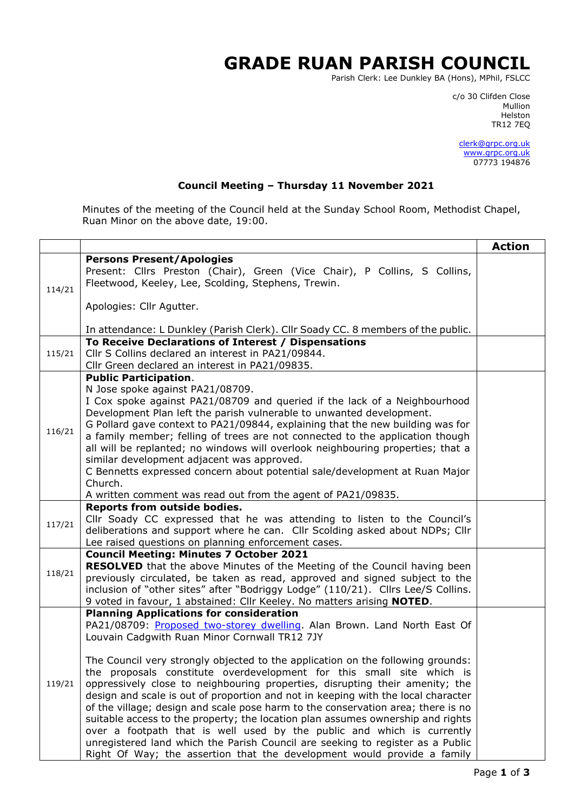## **GRADE RUAN PARISH COUNCIL**

Parish Clerk: Lee Dunkley BA (Hons), MPhil, FSLCC

c/o 30 Clifden Close man and the control of the control of the control of the control of the control of the control of the control o Helston TR12 7EQ

> [clerk@grpc.org.uk](mailto:clerk@grpc.org.uk) [www.grpc.org.uk](http://www.grpc.org.uk/) 07773 194876

## **Council Meeting – Thursday 11 November 2021**

Minutes of the meeting of the Council held at the Sunday School Room, Methodist Chapel, Ruan Minor on the above date, 19:00.

| <b>Persons Present/Apologies</b><br>Present: Cllrs Preston (Chair), Green (Vice Chair), P Collins, S Collins,<br>Fleetwood, Keeley, Lee, Scolding, Stephens, Trewin.<br>114/21<br>Apologies: Cllr Agutter.<br>In attendance: L Dunkley (Parish Clerk). Cllr Soady CC. 8 members of the public.<br>To Receive Declarations of Interest / Dispensations<br>Cllr S Collins declared an interest in PA21/09844.<br>115/21<br>Cllr Green declared an interest in PA21/09835.<br><b>Public Participation.</b><br>N Jose spoke against PA21/08709.<br>I Cox spoke against PA21/08709 and queried if the lack of a Neighbourhood<br>Development Plan left the parish vulnerable to unwanted development.<br>G Pollard gave context to PA21/09844, explaining that the new building was for<br>116/21<br>a family member; felling of trees are not connected to the application though<br>all will be replanted; no windows will overlook neighbouring properties; that a<br>similar development adjacent was approved.<br>C Bennetts expressed concern about potential sale/development at Ruan Major<br>Church.<br>A written comment was read out from the agent of PA21/09835.<br>Reports from outside bodies.<br>Cllr Soady CC expressed that he was attending to listen to the Council's<br>117/21<br>deliberations and support where he can. Cllr Scolding asked about NDPs; Cllr<br>Lee raised questions on planning enforcement cases.<br><b>Council Meeting: Minutes 7 October 2021</b><br><b>RESOLVED</b> that the above Minutes of the Meeting of the Council having been<br>118/21<br>previously circulated, be taken as read, approved and signed subject to the<br>inclusion of "other sites" after "Bodriggy Lodge" (110/21). Cllrs Lee/S Collins.<br>9 voted in favour, 1 abstained: Cllr Keeley. No matters arising <b>NOTED</b> .<br><b>Planning Applications for consideration</b><br>PA21/08709: Proposed two-storey dwelling. Alan Brown. Land North East Of<br>Louvain Cadgwith Ruan Minor Cornwall TR12 7JY<br>The Council very strongly objected to the application on the following grounds:<br>the proposals constitute overdevelopment for this small site which is<br>oppressively close to neighbouring properties, disrupting their amenity; the<br>119/21<br>design and scale is out of proportion and not in keeping with the local character |  |                                                                                  | <b>Action</b> |
|----------------------------------------------------------------------------------------------------------------------------------------------------------------------------------------------------------------------------------------------------------------------------------------------------------------------------------------------------------------------------------------------------------------------------------------------------------------------------------------------------------------------------------------------------------------------------------------------------------------------------------------------------------------------------------------------------------------------------------------------------------------------------------------------------------------------------------------------------------------------------------------------------------------------------------------------------------------------------------------------------------------------------------------------------------------------------------------------------------------------------------------------------------------------------------------------------------------------------------------------------------------------------------------------------------------------------------------------------------------------------------------------------------------------------------------------------------------------------------------------------------------------------------------------------------------------------------------------------------------------------------------------------------------------------------------------------------------------------------------------------------------------------------------------------------------------------------------------------------------------------------------------------------------------------------------------------------------------------------------------------------------------------------------------------------------------------------------------------------------------------------------------------------------------------------------------------------------------------------------------------------------------------------------------------------------------------------------------------------------------|--|----------------------------------------------------------------------------------|---------------|
|                                                                                                                                                                                                                                                                                                                                                                                                                                                                                                                                                                                                                                                                                                                                                                                                                                                                                                                                                                                                                                                                                                                                                                                                                                                                                                                                                                                                                                                                                                                                                                                                                                                                                                                                                                                                                                                                                                                                                                                                                                                                                                                                                                                                                                                                                                                                                                      |  |                                                                                  |               |
|                                                                                                                                                                                                                                                                                                                                                                                                                                                                                                                                                                                                                                                                                                                                                                                                                                                                                                                                                                                                                                                                                                                                                                                                                                                                                                                                                                                                                                                                                                                                                                                                                                                                                                                                                                                                                                                                                                                                                                                                                                                                                                                                                                                                                                                                                                                                                                      |  |                                                                                  |               |
|                                                                                                                                                                                                                                                                                                                                                                                                                                                                                                                                                                                                                                                                                                                                                                                                                                                                                                                                                                                                                                                                                                                                                                                                                                                                                                                                                                                                                                                                                                                                                                                                                                                                                                                                                                                                                                                                                                                                                                                                                                                                                                                                                                                                                                                                                                                                                                      |  |                                                                                  |               |
|                                                                                                                                                                                                                                                                                                                                                                                                                                                                                                                                                                                                                                                                                                                                                                                                                                                                                                                                                                                                                                                                                                                                                                                                                                                                                                                                                                                                                                                                                                                                                                                                                                                                                                                                                                                                                                                                                                                                                                                                                                                                                                                                                                                                                                                                                                                                                                      |  |                                                                                  |               |
|                                                                                                                                                                                                                                                                                                                                                                                                                                                                                                                                                                                                                                                                                                                                                                                                                                                                                                                                                                                                                                                                                                                                                                                                                                                                                                                                                                                                                                                                                                                                                                                                                                                                                                                                                                                                                                                                                                                                                                                                                                                                                                                                                                                                                                                                                                                                                                      |  |                                                                                  |               |
|                                                                                                                                                                                                                                                                                                                                                                                                                                                                                                                                                                                                                                                                                                                                                                                                                                                                                                                                                                                                                                                                                                                                                                                                                                                                                                                                                                                                                                                                                                                                                                                                                                                                                                                                                                                                                                                                                                                                                                                                                                                                                                                                                                                                                                                                                                                                                                      |  |                                                                                  |               |
|                                                                                                                                                                                                                                                                                                                                                                                                                                                                                                                                                                                                                                                                                                                                                                                                                                                                                                                                                                                                                                                                                                                                                                                                                                                                                                                                                                                                                                                                                                                                                                                                                                                                                                                                                                                                                                                                                                                                                                                                                                                                                                                                                                                                                                                                                                                                                                      |  |                                                                                  |               |
|                                                                                                                                                                                                                                                                                                                                                                                                                                                                                                                                                                                                                                                                                                                                                                                                                                                                                                                                                                                                                                                                                                                                                                                                                                                                                                                                                                                                                                                                                                                                                                                                                                                                                                                                                                                                                                                                                                                                                                                                                                                                                                                                                                                                                                                                                                                                                                      |  |                                                                                  |               |
|                                                                                                                                                                                                                                                                                                                                                                                                                                                                                                                                                                                                                                                                                                                                                                                                                                                                                                                                                                                                                                                                                                                                                                                                                                                                                                                                                                                                                                                                                                                                                                                                                                                                                                                                                                                                                                                                                                                                                                                                                                                                                                                                                                                                                                                                                                                                                                      |  |                                                                                  |               |
|                                                                                                                                                                                                                                                                                                                                                                                                                                                                                                                                                                                                                                                                                                                                                                                                                                                                                                                                                                                                                                                                                                                                                                                                                                                                                                                                                                                                                                                                                                                                                                                                                                                                                                                                                                                                                                                                                                                                                                                                                                                                                                                                                                                                                                                                                                                                                                      |  |                                                                                  |               |
|                                                                                                                                                                                                                                                                                                                                                                                                                                                                                                                                                                                                                                                                                                                                                                                                                                                                                                                                                                                                                                                                                                                                                                                                                                                                                                                                                                                                                                                                                                                                                                                                                                                                                                                                                                                                                                                                                                                                                                                                                                                                                                                                                                                                                                                                                                                                                                      |  |                                                                                  |               |
|                                                                                                                                                                                                                                                                                                                                                                                                                                                                                                                                                                                                                                                                                                                                                                                                                                                                                                                                                                                                                                                                                                                                                                                                                                                                                                                                                                                                                                                                                                                                                                                                                                                                                                                                                                                                                                                                                                                                                                                                                                                                                                                                                                                                                                                                                                                                                                      |  |                                                                                  |               |
|                                                                                                                                                                                                                                                                                                                                                                                                                                                                                                                                                                                                                                                                                                                                                                                                                                                                                                                                                                                                                                                                                                                                                                                                                                                                                                                                                                                                                                                                                                                                                                                                                                                                                                                                                                                                                                                                                                                                                                                                                                                                                                                                                                                                                                                                                                                                                                      |  |                                                                                  |               |
|                                                                                                                                                                                                                                                                                                                                                                                                                                                                                                                                                                                                                                                                                                                                                                                                                                                                                                                                                                                                                                                                                                                                                                                                                                                                                                                                                                                                                                                                                                                                                                                                                                                                                                                                                                                                                                                                                                                                                                                                                                                                                                                                                                                                                                                                                                                                                                      |  |                                                                                  |               |
|                                                                                                                                                                                                                                                                                                                                                                                                                                                                                                                                                                                                                                                                                                                                                                                                                                                                                                                                                                                                                                                                                                                                                                                                                                                                                                                                                                                                                                                                                                                                                                                                                                                                                                                                                                                                                                                                                                                                                                                                                                                                                                                                                                                                                                                                                                                                                                      |  |                                                                                  |               |
|                                                                                                                                                                                                                                                                                                                                                                                                                                                                                                                                                                                                                                                                                                                                                                                                                                                                                                                                                                                                                                                                                                                                                                                                                                                                                                                                                                                                                                                                                                                                                                                                                                                                                                                                                                                                                                                                                                                                                                                                                                                                                                                                                                                                                                                                                                                                                                      |  |                                                                                  |               |
|                                                                                                                                                                                                                                                                                                                                                                                                                                                                                                                                                                                                                                                                                                                                                                                                                                                                                                                                                                                                                                                                                                                                                                                                                                                                                                                                                                                                                                                                                                                                                                                                                                                                                                                                                                                                                                                                                                                                                                                                                                                                                                                                                                                                                                                                                                                                                                      |  |                                                                                  |               |
|                                                                                                                                                                                                                                                                                                                                                                                                                                                                                                                                                                                                                                                                                                                                                                                                                                                                                                                                                                                                                                                                                                                                                                                                                                                                                                                                                                                                                                                                                                                                                                                                                                                                                                                                                                                                                                                                                                                                                                                                                                                                                                                                                                                                                                                                                                                                                                      |  |                                                                                  |               |
|                                                                                                                                                                                                                                                                                                                                                                                                                                                                                                                                                                                                                                                                                                                                                                                                                                                                                                                                                                                                                                                                                                                                                                                                                                                                                                                                                                                                                                                                                                                                                                                                                                                                                                                                                                                                                                                                                                                                                                                                                                                                                                                                                                                                                                                                                                                                                                      |  |                                                                                  |               |
|                                                                                                                                                                                                                                                                                                                                                                                                                                                                                                                                                                                                                                                                                                                                                                                                                                                                                                                                                                                                                                                                                                                                                                                                                                                                                                                                                                                                                                                                                                                                                                                                                                                                                                                                                                                                                                                                                                                                                                                                                                                                                                                                                                                                                                                                                                                                                                      |  |                                                                                  |               |
|                                                                                                                                                                                                                                                                                                                                                                                                                                                                                                                                                                                                                                                                                                                                                                                                                                                                                                                                                                                                                                                                                                                                                                                                                                                                                                                                                                                                                                                                                                                                                                                                                                                                                                                                                                                                                                                                                                                                                                                                                                                                                                                                                                                                                                                                                                                                                                      |  |                                                                                  |               |
|                                                                                                                                                                                                                                                                                                                                                                                                                                                                                                                                                                                                                                                                                                                                                                                                                                                                                                                                                                                                                                                                                                                                                                                                                                                                                                                                                                                                                                                                                                                                                                                                                                                                                                                                                                                                                                                                                                                                                                                                                                                                                                                                                                                                                                                                                                                                                                      |  |                                                                                  |               |
|                                                                                                                                                                                                                                                                                                                                                                                                                                                                                                                                                                                                                                                                                                                                                                                                                                                                                                                                                                                                                                                                                                                                                                                                                                                                                                                                                                                                                                                                                                                                                                                                                                                                                                                                                                                                                                                                                                                                                                                                                                                                                                                                                                                                                                                                                                                                                                      |  |                                                                                  |               |
|                                                                                                                                                                                                                                                                                                                                                                                                                                                                                                                                                                                                                                                                                                                                                                                                                                                                                                                                                                                                                                                                                                                                                                                                                                                                                                                                                                                                                                                                                                                                                                                                                                                                                                                                                                                                                                                                                                                                                                                                                                                                                                                                                                                                                                                                                                                                                                      |  |                                                                                  |               |
|                                                                                                                                                                                                                                                                                                                                                                                                                                                                                                                                                                                                                                                                                                                                                                                                                                                                                                                                                                                                                                                                                                                                                                                                                                                                                                                                                                                                                                                                                                                                                                                                                                                                                                                                                                                                                                                                                                                                                                                                                                                                                                                                                                                                                                                                                                                                                                      |  |                                                                                  |               |
|                                                                                                                                                                                                                                                                                                                                                                                                                                                                                                                                                                                                                                                                                                                                                                                                                                                                                                                                                                                                                                                                                                                                                                                                                                                                                                                                                                                                                                                                                                                                                                                                                                                                                                                                                                                                                                                                                                                                                                                                                                                                                                                                                                                                                                                                                                                                                                      |  |                                                                                  |               |
|                                                                                                                                                                                                                                                                                                                                                                                                                                                                                                                                                                                                                                                                                                                                                                                                                                                                                                                                                                                                                                                                                                                                                                                                                                                                                                                                                                                                                                                                                                                                                                                                                                                                                                                                                                                                                                                                                                                                                                                                                                                                                                                                                                                                                                                                                                                                                                      |  |                                                                                  |               |
|                                                                                                                                                                                                                                                                                                                                                                                                                                                                                                                                                                                                                                                                                                                                                                                                                                                                                                                                                                                                                                                                                                                                                                                                                                                                                                                                                                                                                                                                                                                                                                                                                                                                                                                                                                                                                                                                                                                                                                                                                                                                                                                                                                                                                                                                                                                                                                      |  |                                                                                  |               |
|                                                                                                                                                                                                                                                                                                                                                                                                                                                                                                                                                                                                                                                                                                                                                                                                                                                                                                                                                                                                                                                                                                                                                                                                                                                                                                                                                                                                                                                                                                                                                                                                                                                                                                                                                                                                                                                                                                                                                                                                                                                                                                                                                                                                                                                                                                                                                                      |  |                                                                                  |               |
|                                                                                                                                                                                                                                                                                                                                                                                                                                                                                                                                                                                                                                                                                                                                                                                                                                                                                                                                                                                                                                                                                                                                                                                                                                                                                                                                                                                                                                                                                                                                                                                                                                                                                                                                                                                                                                                                                                                                                                                                                                                                                                                                                                                                                                                                                                                                                                      |  |                                                                                  |               |
|                                                                                                                                                                                                                                                                                                                                                                                                                                                                                                                                                                                                                                                                                                                                                                                                                                                                                                                                                                                                                                                                                                                                                                                                                                                                                                                                                                                                                                                                                                                                                                                                                                                                                                                                                                                                                                                                                                                                                                                                                                                                                                                                                                                                                                                                                                                                                                      |  |                                                                                  |               |
|                                                                                                                                                                                                                                                                                                                                                                                                                                                                                                                                                                                                                                                                                                                                                                                                                                                                                                                                                                                                                                                                                                                                                                                                                                                                                                                                                                                                                                                                                                                                                                                                                                                                                                                                                                                                                                                                                                                                                                                                                                                                                                                                                                                                                                                                                                                                                                      |  |                                                                                  |               |
|                                                                                                                                                                                                                                                                                                                                                                                                                                                                                                                                                                                                                                                                                                                                                                                                                                                                                                                                                                                                                                                                                                                                                                                                                                                                                                                                                                                                                                                                                                                                                                                                                                                                                                                                                                                                                                                                                                                                                                                                                                                                                                                                                                                                                                                                                                                                                                      |  |                                                                                  |               |
|                                                                                                                                                                                                                                                                                                                                                                                                                                                                                                                                                                                                                                                                                                                                                                                                                                                                                                                                                                                                                                                                                                                                                                                                                                                                                                                                                                                                                                                                                                                                                                                                                                                                                                                                                                                                                                                                                                                                                                                                                                                                                                                                                                                                                                                                                                                                                                      |  | of the village; design and scale pose harm to the conservation area; there is no |               |
| suitable access to the property; the location plan assumes ownership and rights                                                                                                                                                                                                                                                                                                                                                                                                                                                                                                                                                                                                                                                                                                                                                                                                                                                                                                                                                                                                                                                                                                                                                                                                                                                                                                                                                                                                                                                                                                                                                                                                                                                                                                                                                                                                                                                                                                                                                                                                                                                                                                                                                                                                                                                                                      |  |                                                                                  |               |
| over a footpath that is well used by the public and which is currently                                                                                                                                                                                                                                                                                                                                                                                                                                                                                                                                                                                                                                                                                                                                                                                                                                                                                                                                                                                                                                                                                                                                                                                                                                                                                                                                                                                                                                                                                                                                                                                                                                                                                                                                                                                                                                                                                                                                                                                                                                                                                                                                                                                                                                                                                               |  |                                                                                  |               |
|                                                                                                                                                                                                                                                                                                                                                                                                                                                                                                                                                                                                                                                                                                                                                                                                                                                                                                                                                                                                                                                                                                                                                                                                                                                                                                                                                                                                                                                                                                                                                                                                                                                                                                                                                                                                                                                                                                                                                                                                                                                                                                                                                                                                                                                                                                                                                                      |  | unregistered land which the Parish Council are seeking to register as a Public   |               |
|                                                                                                                                                                                                                                                                                                                                                                                                                                                                                                                                                                                                                                                                                                                                                                                                                                                                                                                                                                                                                                                                                                                                                                                                                                                                                                                                                                                                                                                                                                                                                                                                                                                                                                                                                                                                                                                                                                                                                                                                                                                                                                                                                                                                                                                                                                                                                                      |  | Right Of Way; the assertion that the development would provide a family          |               |
|                                                                                                                                                                                                                                                                                                                                                                                                                                                                                                                                                                                                                                                                                                                                                                                                                                                                                                                                                                                                                                                                                                                                                                                                                                                                                                                                                                                                                                                                                                                                                                                                                                                                                                                                                                                                                                                                                                                                                                                                                                                                                                                                                                                                                                                                                                                                                                      |  |                                                                                  |               |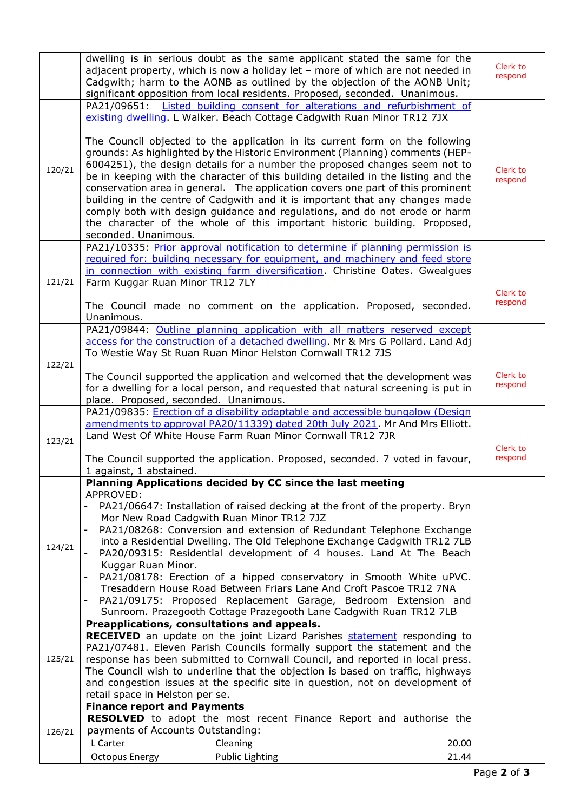|        | dwelling is in serious doubt as the same applicant stated the same for the<br>adjacent property, which is now a holiday let - more of which are not needed in<br>Cadgwith; harm to the AONB as outlined by the objection of the AONB Unit;<br>significant opposition from local residents. Proposed, seconded. Unanimous. | Clerk to<br>respond |
|--------|---------------------------------------------------------------------------------------------------------------------------------------------------------------------------------------------------------------------------------------------------------------------------------------------------------------------------|---------------------|
|        | PA21/09651: Listed building consent for alterations and refurbishment of                                                                                                                                                                                                                                                  |                     |
|        | existing dwelling. L Walker. Beach Cottage Cadgwith Ruan Minor TR12 7JX<br>The Council objected to the application in its current form on the following                                                                                                                                                                   |                     |
| 120/21 | grounds: As highlighted by the Historic Environment (Planning) comments (HEP-<br>6004251), the design details for a number the proposed changes seem not to                                                                                                                                                               | Clerk to            |
|        | be in keeping with the character of this building detailed in the listing and the                                                                                                                                                                                                                                         | respond             |
|        | conservation area in general. The application covers one part of this prominent<br>building in the centre of Cadgwith and it is important that any changes made                                                                                                                                                           |                     |
|        | comply both with design guidance and regulations, and do not erode or harm                                                                                                                                                                                                                                                |                     |
|        | the character of the whole of this important historic building. Proposed,                                                                                                                                                                                                                                                 |                     |
|        | seconded. Unanimous.<br>PA21/10335: Prior approval notification to determine if planning permission is                                                                                                                                                                                                                    |                     |
|        | required for: building necessary for equipment, and machinery and feed store                                                                                                                                                                                                                                              |                     |
|        | in connection with existing farm diversification. Christine Oates. Gwealgues                                                                                                                                                                                                                                              |                     |
| 121/21 | Farm Kuggar Ruan Minor TR12 7LY                                                                                                                                                                                                                                                                                           | Clerk to            |
|        | The Council made no comment on the application. Proposed, seconded.<br>Unanimous.                                                                                                                                                                                                                                         | respond             |
|        | PA21/09844: Outline planning application with all matters reserved except                                                                                                                                                                                                                                                 |                     |
|        | access for the construction of a detached dwelling. Mr & Mrs G Pollard. Land Adj                                                                                                                                                                                                                                          |                     |
| 122/21 | To Westie Way St Ruan Ruan Minor Helston Cornwall TR12 7JS                                                                                                                                                                                                                                                                |                     |
|        | The Council supported the application and welcomed that the development was                                                                                                                                                                                                                                               | Clerk to            |
|        | for a dwelling for a local person, and requested that natural screening is put in                                                                                                                                                                                                                                         | respond             |
|        | place. Proposed, seconded. Unanimous.<br>PA21/09835: Erection of a disability adaptable and accessible bungalow (Design                                                                                                                                                                                                   |                     |
|        | amendments to approval PA20/11339) dated 20th July 2021. Mr And Mrs Elliott.                                                                                                                                                                                                                                              |                     |
| 123/21 | Land West Of White House Farm Ruan Minor Cornwall TR12 7JR                                                                                                                                                                                                                                                                |                     |
|        | The Council supported the application. Proposed, seconded. 7 voted in favour,                                                                                                                                                                                                                                             | Clerk to<br>respond |
|        | 1 against, 1 abstained.                                                                                                                                                                                                                                                                                                   |                     |
|        | Planning Applications decided by CC since the last meeting<br>APPROVED:                                                                                                                                                                                                                                                   |                     |
|        | PA21/06647: Installation of raised decking at the front of the property. Bryn<br>Mor New Road Cadgwith Ruan Minor TR12 7JZ                                                                                                                                                                                                |                     |
|        | PA21/08268: Conversion and extension of Redundant Telephone Exchange                                                                                                                                                                                                                                                      |                     |
| 124/21 | into a Residential Dwelling. The Old Telephone Exchange Cadgwith TR12 7LB<br>PA20/09315: Residential development of 4 houses. Land At The Beach                                                                                                                                                                           |                     |
|        | Kuggar Ruan Minor.                                                                                                                                                                                                                                                                                                        |                     |
|        | PA21/08178: Erection of a hipped conservatory in Smooth White uPVC.<br>$\overline{\phantom{a}}$                                                                                                                                                                                                                           |                     |
|        | Tresaddern House Road Between Friars Lane And Croft Pascoe TR12 7NA<br>PA21/09175: Proposed Replacement Garage, Bedroom Extension and                                                                                                                                                                                     |                     |
|        | Sunroom. Prazegooth Cottage Prazegooth Lane Cadgwith Ruan TR12 7LB                                                                                                                                                                                                                                                        |                     |
|        | Preapplications, consultations and appeals.                                                                                                                                                                                                                                                                               |                     |
|        | <b>RECEIVED</b> an update on the joint Lizard Parishes statement responding to<br>PA21/07481. Eleven Parish Councils formally support the statement and the                                                                                                                                                               |                     |
| 125/21 | response has been submitted to Cornwall Council, and reported in local press.                                                                                                                                                                                                                                             |                     |
|        | The Council wish to underline that the objection is based on traffic, highways                                                                                                                                                                                                                                            |                     |
|        | and congestion issues at the specific site in question, not on development of<br>retail space in Helston per se.                                                                                                                                                                                                          |                     |
|        | <b>Finance report and Payments</b>                                                                                                                                                                                                                                                                                        |                     |
|        | <b>RESOLVED</b> to adopt the most recent Finance Report and authorise the                                                                                                                                                                                                                                                 |                     |
| 126/21 | payments of Accounts Outstanding:<br>L Carter<br>Cleaning<br>20.00                                                                                                                                                                                                                                                        |                     |
|        | <b>Octopus Energy</b><br><b>Public Lighting</b><br>21.44                                                                                                                                                                                                                                                                  |                     |